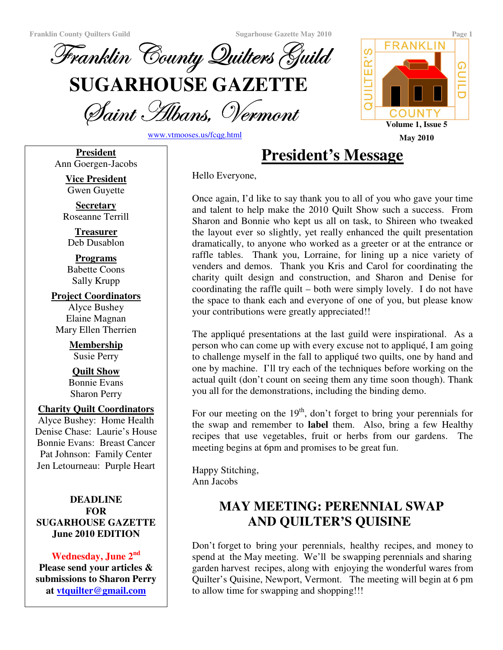

Saint Albans, Vermoni

www.vtmooses.us/fcqg.html

Hello Everyone,

**President** Ann Goergen-Jacobs **President's Message**

**Vice President** Gwen Guyette

**Secretary** Roseanne Terrill

**Treasurer** Deb Dusablon

**Programs** Babette Coons Sally Krupp

**Project Coordinators** Alyce Bushey Elaine Magnan Mary Ellen Therrien

> **Membership** Susie Perry

> **Quilt Show** Bonnie Evans Sharon Perry

#### **Charity Quilt Coordinators**

Alyce Bushey: Home Health Denise Chase: Laurie's House Bonnie Evans: Breast Cancer Pat Johnson: Family Center Jen Letourneau: Purple Heart

#### **DEADLINE FOR SUGARHOUSE GAZETTE June 2010 EDITION**

## **Wednesday, June 2 nd**

**Please send your articles & submissions to Sharon Perry at vtquilter@gmail.com**

Once again, I'd like to say thank you to all of you who gave your time and talent to help make the 2010 Quilt Show such a success. From Sharon and Bonnie who kept us all on task, to Shireen who tweaked the layout ever so slightly, yet really enhanced the quilt presentation dramatically, to anyone who worked as a greeter or at the entrance or raffle tables. Thank you, Lorraine, for lining up a nice variety of venders and demos. Thank you Kris and Carol for coordinating the charity quilt design and construction, and Sharon and Denise for coordinating the raffle quilt – both were simply lovely. I do not have the space to thank each and everyone of one of you, but please know your contributions were greatly appreciated!!

The appliqué presentations at the last guild were inspirational. As a person who can come up with every excuse not to appliqué, I am going to challenge myself in the fall to appliqué two quilts, one by hand and one by machine. I'll try each of the techniques before working on the actual quilt (don't count on seeing them any time soon though). Thank you all for the demonstrations, including the binding demo.

For our meeting on the 19<sup>th</sup>, don't forget to bring your perennials for the swap and remember to **label** them. Also, bring a few Healthy recipes that use vegetables, fruit or herbs from our gardens. The meeting begins at 6pm and promises to be great fun.

Happy Stitching, Ann Jacobs

# **MAY MEETING: PERENNIAL SWAP AND QUILTER'S QUISINE**

Don't forget to bring your perennials, healthy recipes, and money to spend at the May meeting. We'll be swapping perennials and sharing garden harvest recipes, along with enjoying the wonderful wares from Quilter's Quisine, Newport, Vermont. The meeting will begin at 6 pm to allow time for swapping and shopping!!!

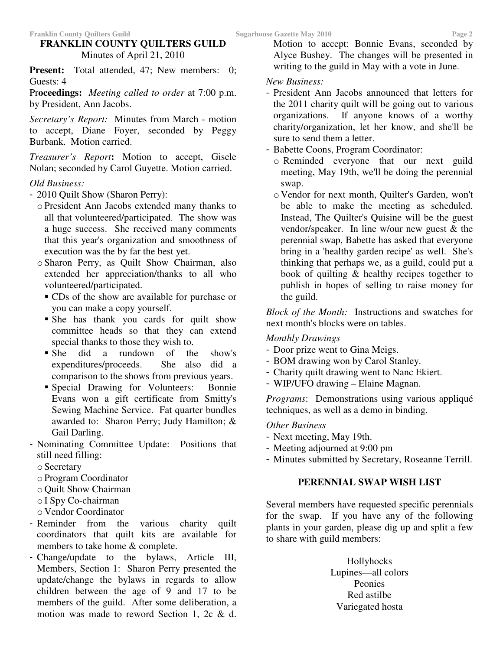## **FRANKLIN COUNTY QUILTERS GUILD** Minutes of April 21, 2010

**Present:** Total attended, 47; New members: 0; Guests: 4

Pr**oceedings:** *Meeting called to order* at 7:00 p.m. by President, Ann Jacobs.

*Secretary's Report:* Minutes from March - motion to accept, Diane Foyer, seconded by Peggy Burbank. Motion carried.

*Treasurer's Report***:** Motion to accept, Gisele Nolan; seconded by Carol Guyette. Motion carried.

#### *Old Business:*

- 2010 Quilt Show (Sharon Perry):
	- o President Ann Jacobs extended many thanks to all that volunteered/participated. The show was a huge success. She received many comments that this year's organization and smoothness of execution was the by far the best yet.
	- o Sharon Perry, as Quilt Show Chairman, also extended her appreciation/thanks to all who volunteered/participated.
		- CDs of the show are available for purchase or you can make a copy yourself.
		- She has thank you cards for quilt show committee heads so that they can extend special thanks to those they wish to.
		- She did a rundown of the show's expenditures/proceeds. She also did a comparison to the shows from previous years.
		- Special Drawing for Volunteers: Bonnie Evans won a gift certificate from Smitty's Sewing Machine Service. Fat quarter bundles awarded to: Sharon Perry; Judy Hamilton; & Gail Darling.
- Nominating Committee Update: Positions that still need filling:
	- o Secretary
	- o Program Coordinator
	- o Quilt Show Chairman
	- o I Spy Co-chairman
	- o Vendor Coordinator
- Reminder from the various charity quilt coordinators that quilt kits are available for members to take home & complete.
- Change/update to the bylaws, Article III, Members, Section 1: Sharon Perry presented the update/change the bylaws in regards to allow children between the age of 9 and 17 to be members of the guild. After some deliberation, a motion was made to reword Section 1, 2c & d.

Motion to accept: Bonnie Evans, seconded by Alyce Bushey. The changes will be presented in writing to the guild in May with a vote in June.

#### *New Business:*

- President Ann Jacobs announced that letters for the 2011 charity quilt will be going out to various organizations. If anyone knows of a worthy charity/organization, let her know, and she'll be sure to send them a letter.

#### - Babette Coons, Program Coordinator:

- o Reminded everyone that our next guild meeting, May 19th, we'll be doing the perennial swap.
- o Vendor for next month, Quilter's Garden, won't be able to make the meeting as scheduled. Instead, The Quilter's Quisine will be the guest vendor/speaker. In line w/our new guest & the perennial swap, Babette has asked that everyone bring in a 'healthy garden recipe'as well. She's thinking that perhaps we, as a guild, could put a book of quilting & healthy recipes together to publish in hopes of selling to raise money for the guild.

*Block of the Month:* Instructions and swatches for next month's blocks were on tables.

#### *Monthly Drawings*

- Door prize went to Gina Meigs.
- BOM drawing won by Carol Stanley.
- Charity quilt drawing went to Nanc Ekiert.
- WIP/UFO drawing Elaine Magnan.

*Programs*: Demonstrations using various appliqué techniques, as well as a demo in binding.

#### *Other Business*

- Next meeting, May 19th.
- Meeting adjourned at 9:00 pm
- Minutes submitted by Secretary, Roseanne Terrill.

#### **PERENNIAL SWAP WISH LIST**

Several members have requested specific perennials for the swap. If you have any of the following plants in your garden, please dig up and split a few to share with guild members:

> Hollyhocks Lupines—all colors Peonies Red astilbe Variegated hosta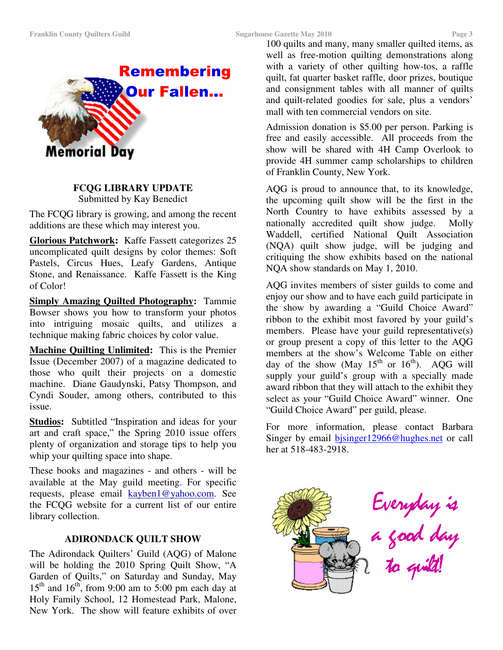**Memorial Day** 



#### **FCQG LIBRARY UPDATE**

Submitted by Kay Benedict

The FCQG library is growing, and among the recent additions are these which may interest you.

**Glorious Patchwork:** Kaffe Fassett categorizes 25 uncomplicated quilt designs by color themes: Soft Pastels, Circus Hues, Leafy Gardens, Antique Stone, and Renaissance. Kaffe Fassett is the King of Color!

**Simply Amazing Quilted Photography:** Tammie Bowser shows you how to transform your photos into intriguing mosaic quilts, and utilizes a technique making fabric choices by color value.

**Machine Quilting Unlimited:** This is the Premier Issue (December 2007) of a magazine dedicated to those who quilt their projects on a domestic machine. Diane Gaudynski, Patsy Thompson, and Cyndi Souder, among others, contributed to this issue.

**Studios:** Subtitled "Inspiration and ideas for your art and craft space," the Spring 2010 issue offers plenty of organization and storage tips to help you whip your quilting space into shape.

These books and magazines - and others - will be available at the May guild meeting. For specific requests, please email kayben1@yahoo.com. See the FCQG website for a current list of our entire library collection.

#### **ADIRONDACK QUILT SHOW**

The Adirondack Quilters' Guild (AQG) of Malone will be holding the 2010 Spring Quilt Show, "A Garden of Quilts," on Saturday and Sunday, May  $15<sup>th</sup>$  and  $16<sup>th</sup>$ , from 9:00 am to 5:00 pm each day at Holy Family School, 12 Homestead Park, Malone, New York. The show will feature exhibits of over

100 quilts and many, many smaller quilted items, as well as free-motion quilting demonstrations along with a variety of other quilting how-tos, a raffle quilt, fat quarter basket raffle, door prizes, boutique and consignment tables with all manner of quilts and quilt-related goodies for sale, plus a vendors' mall with ten commercial vendors on site.

Admission donation is \$5.00 per person. Parking is free and easily accessible. All proceeds from the show will be shared with 4H Camp Overlook to provide 4H summer camp scholarships to children of Franklin County, New York.

AQG is proud to announce that, to its knowledge, the upcoming quilt show will be the first in the North Country to have exhibits assessed by a nationally accredited quilt show judge. Molly Waddell, certified National Quilt Association (NQA) quilt show judge, will be judging and critiquing the show exhibits based on the national NQA show standards on May 1, 2010.

AQG invites members of sister guilds to come and enjoy our show and to have each guild participate in the show by awarding a "Guild Choice Award" ribbon to the exhibit most favored by your guild's members. Please have your guild representative(s) or group present a copy of this letter to the AQG members at the show's Welcome Table on either day of the show (May  $15^{th}$  or  $16^{th}$ ). AQG will supply your guild's group with a specially made award ribbon that they will attach to the exhibit they select as your "Guild Choice Award" winner. One "Guild Choice Award" per guild, please.

For more information, please contact Barbara Singer by email bjsinger12966@hughes.net or call her at 518-483-2918.

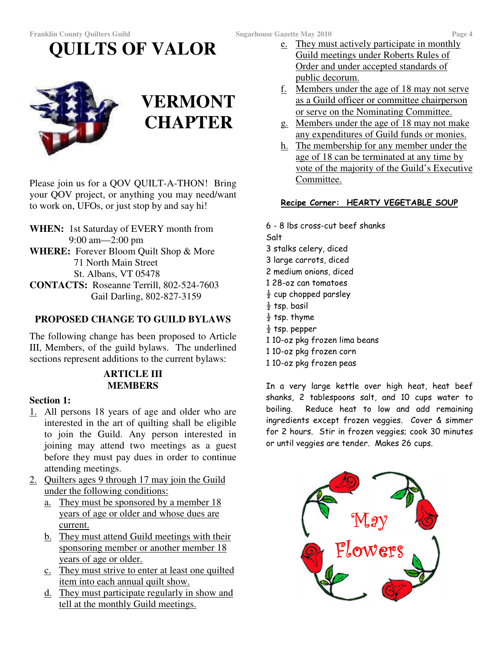**QUILTS OF VALOR**



# **VERMONT CHAPTER**

Please join us for a QOV QUILT-A-THON! Bring your QOV project, or anything you may need/want to work on, UFOs, or just stop by and say hi!

**WHEN:** 1st Saturday of EVERY month from 9:00 am—2:00 pm **WHERE:** Forever Bloom Quilt Shop & More 71 North Main Street St. Albans, VT 05478 **CONTACTS:** Roseanne Terrill, 802-524-7603 Gail Darling, 802-827-3159

## **PROPOSED CHANGE TO GUILD BYLAWS**

The following change has been proposed to Article III, Members, of the guild bylaws. The underlined sections represent additions to the current bylaws:

#### **ARTICLE III MEMBERS**

#### **Section 1:**

- 1. All persons 18 years of age and older who are interested in the art of quilting shall be eligible to join the Guild. Any person interested in joining may attend two meetings as a guest before they must pay dues in order to continue attending meetings.
- 2. Quilters ages 9 through 17 may join the Guild under the following conditions:
	- a. They must be sponsored by a member 18 years of age or older and whose dues are current.
	- b. They must attend Guild meetings with their sponsoring member or another member 18 years of age or older.
	- c. They must strive to enter at least one quilted item into each annual quilt show.
	- d. They must participate regularly in show and tell at the monthly Guild meetings.
- e. They must actively participate in monthly Guild meetings under Roberts Rules of Order and under accepted standards of public decorum.
- f. Members under the age of 18 may not serve as a Guild officer or committee chairperson or serve on the Nominating Committee.
- g. Members under the age of 18 may not make any expenditures of Guild funds or monies.
- h. The membership for any member under the age of 18 can be terminated at any time by vote of the majority of the Guild's Executive Committee.

#### <u>Recipe Corner: HEARTY VEGETABLE SOUP</u>

6 - 8 lbs cross-cut beef shanks Salt 3 stalks celery, diced 3 large carrots, diced 2 medium onions, diced 1 28-oz can tomatoes  $\frac{1}{2}$  cup chopped parsley  $\frac{1}{2}$  tsp. basil  $\frac{1}{2}$  tsp. thyme  $\frac{1}{2}$  tsp. pepper 1 10-oz pkg frozen lima beans 1 10-oz pkg frozen corn 1 10-oz pkg frozen peas

In a very large kettle over high heat, heat beef shanks, 2 tablespoons salt, and 10 cups water to boilina. iling. Reduce heat to low and add remaining ingredients except frozen veggies. Cover & simmer for 2 hours. Stir in frozen veggies; cook 30 minutes or until veggies are tender. Makes 26 cups.